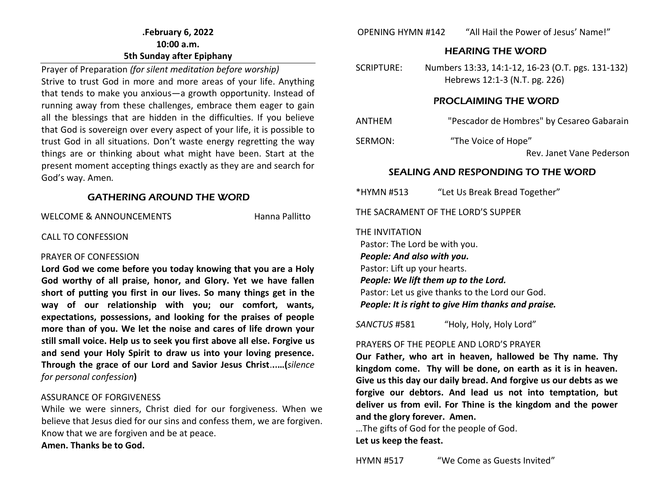## **.February 6, 2022 10:00 a.m. 5th Sunday after Epiphany**

Prayer of Preparation *(for silent meditation before worship)* Strive to trust God in more and more areas of your life. Anything that tends to make you anxious—a growth opportunity. Instead of running away from these challenges, embrace them eager to gain all the blessings that are hidden in the difficulties. If you believe that God is sovereign over every aspect of your life, it is possible to trust God in all situations. Don't waste energy regretting the way things are or thinking about what might have been. Start at the present moment accepting things exactly as they are and search for God's way. Amen*.* 

#### GATHERING AROUND THE WORD

WELCOME & ANNOUNCEMENTS Hanna Pallitto

CALL TO CONFESSION

#### PRAYER OF CONFESSION

**Lord God we come before you today knowing that you are a Holy God worthy of all praise, honor, and Glory. Yet we have fallen short of putting you first in our lives. So many things get in the way of our relationship with you; our comfort, wants, expectations, possessions, and looking for the praises of people more than of you. We let the noise and cares of life drown your still small voice. Help us to seek you first above all else. Forgive us and send your Holy Spirit to draw us into your loving presence. Through the grace of our Lord and Savior Jesus Christ**.**..…(***silence for personal confession***)**

#### ASSURANCE OF FORGIVENESS

While we were sinners, Christ died for our forgiveness. When we believe that Jesus died for our sins and confess them, we are forgiven. Know that we are forgiven and be at peace.

**Amen. Thanks be to God.**

OPENING HYMN #142 "All Hail the Power of Jesus' Name!"

#### HEARING THE WORD

SCRIPTURE: Numbers 13:33, 14:1-12, 16-23 (O.T. pgs. 131-132) Hebrews 12:1-3 (N.T. pg. 226)

#### PROCLAIMING THE WORD

| ANTHEM  | "Pescador de Hombres" by Cesareo Gabarain        |
|---------|--------------------------------------------------|
| SERMON: | "The Voice of Hope"<br>Des Jamet Vance Deelensen |

Rev. Janet Vane Pederson

#### SEALING AND RESPONDING TO THE WORD

\*HYMN #513 "Let Us Break Bread Together"

THE SACRAMENT OF THE LORD'S SUPPER

THE INVITATION

Pastor: The Lord be with you. *People: And also with you.* Pastor: Lift up your hearts. *People: We lift them up to the Lord.* Pastor: Let us give thanks to the Lord our God. *People: It is right to give Him thanks and praise.*

*SANCTUS* #581 "Holy, Holy, Holy Lord"

#### PRAYERS OF THE PEOPLE AND LORD'S PRAYER

**Our Father, who art in heaven, hallowed be Thy name. Thy kingdom come. Thy will be done, on earth as it is in heaven. Give us this day our daily bread. And forgive us our debts as we forgive our debtors. And lead us not into temptation, but deliver us from evil. For Thine is the kingdom and the power and the glory forever. Amen.**

…The gifts of God for the people of God. **Let us keep the feast.**

HYMN #517 "We Come as Guests Invited"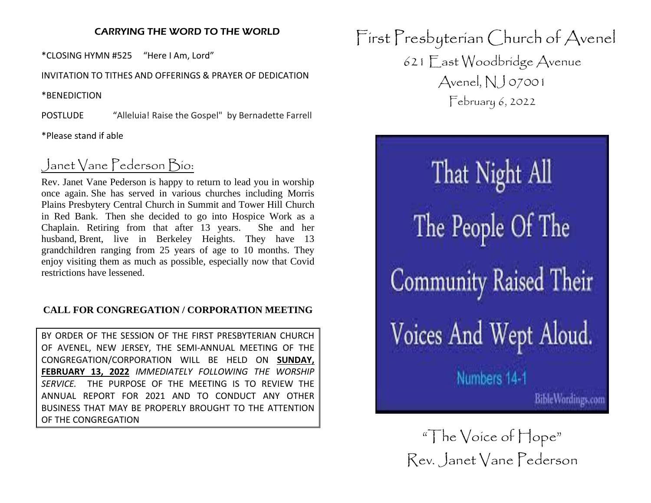## CARRYING THE WORD TO THE WORLD

\*CLOSING HYMN #525 "Here I Am, Lord"

INVITATION TO TITHES AND OFFERINGS & PRAYER OF DEDICATION

\*BENEDICTION

POSTLUDE "Alleluia! Raise the Gospel" by Bernadette Farrell

\*Please stand if able

# Janet Vane Pederson Bio:

Rev. Janet Vane Pederson is happy to return to lead you in worship once again. She has served in various churches including Morris Plains Presbytery Central Church in Summit and Tower Hill Church in Red Bank. Then she decided to go into Hospice Work as a Chaplain. Retiring from that after 13 years. She and her husband, Brent, live in Berkeley Heights. They have 13 grandchildren ranging from 25 years of age to 10 months. They enjoy visiting them as much as possible, especially now that Covid restrictions have lessened.

#### **CALL FOR CONGREGATION / CORPORATION MEETING**

BY ORDER OF THE SESSION OF THE FIRST PRESBYTERIAN CHURCH OF AVENEL, NEW JERSEY, THE SEMI-ANNUAL MEETING OF THE CONGREGATION/CORPORATION WILL BE HELD ON **SUNDAY, FEBRUARY 13, 2022** *IMMEDIATELY FOLLOWING THE WORSHIP SERVICE.* THE PURPOSE OF THE MEETING IS TO REVIEW THE ANNUAL REPORT FOR 2021 AND TO CONDUCT ANY OTHER BUSINESS THAT MAY BE PROPERLY BROUGHT TO THE ATTENTION OF THE CONGREGATION

First Presbyterian Church of Avenel 621 East Woodbridge Avenue Avenel,  $NJ$  07001 February 6, 2022

> That Night All The People Of The **Community Raised Their** Voices And Wept Aloud. Numbers 14-1 **BibleWordings.com**

"The Voice of Hope" Rev. Janet Vane Pederson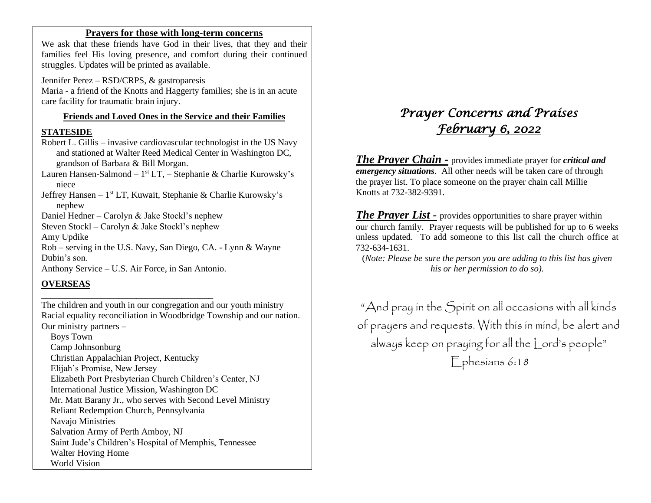#### **Prayers for those with long-term concerns**

We ask that these friends have God in their lives, that they and their families feel His loving presence, and comfort during their continued struggles. Updates will be printed as available.

Jennifer Perez – RSD/CRPS, & gastroparesis Maria - a friend of the Knotts and Haggerty families; she is in an acute care facility for traumatic brain injury.

#### **Friends and Loved Ones in the Service and their Families**

#### **STATESIDE**

Robert L. Gillis – invasive cardiovascular technologist in the US Navy and stationed at Walter Reed Medical Center in Washington DC, grandson of Barbara & Bill Morgan.

Lauren Hansen-Salmond – 1<sup>st</sup> LT, – Stephanie & Charlie Kurowsky's niece

Jeffrey Hansen - 1<sup>st</sup> LT, Kuwait, Stephanie & Charlie Kurowsky's nephew

Daniel Hedner – Carolyn & Jake Stockl's nephew

Steven Stockl – Carolyn & Jake Stockl's nephew

Amy Updike

Rob – serving in the U.S. Navy, San Diego, CA. - Lynn & Wayne Dubin's son.

Anthony Service – U.S. Air Force, in San Antonio.

\_\_\_\_\_\_\_\_\_\_\_\_\_\_\_\_\_\_\_\_\_\_\_\_\_\_\_\_\_\_\_\_\_\_\_\_\_\_

#### **OVERSEAS**

The children and youth in our congregation and our youth ministry Racial equality reconciliation in Woodbridge Township and our nation. Our ministry partners –

 Boys Town Camp Johnsonburg Christian Appalachian Project, Kentucky Elijah's Promise, New Jersey Elizabeth Port Presbyterian Church Children's Center, NJ International Justice Mission, Washington DC Mr. Matt Barany Jr., who serves with Second Level Ministry Reliant Redemption Church, Pennsylvania Navajo Ministries Salvation Army of Perth Amboy, NJ Saint Jude's Children's Hospital of Memphis, Tennessee Walter Hoving Home World Vision

# *Prayer Concerns and Praises February 6, 2022*

*The Prayer Chain -* provides immediate prayer for *critical and emergency situations*. All other needs will be taken care of through the prayer list. To place someone on the prayer chain call Millie Knotts at 732-382-9391.

*The Prayer List -* provides opportunities to share prayer within our church family. Prayer requests will be published for up to 6 weeks unless updated. To add someone to this list call the church office at 732-634-1631.

(*Note: Please be sure the person you are adding to this list has given his or her permission to do so).*

"And pray in the Spirit on all occasions with all kinds of prayers and requests. With this in mind, be alert and always keep on praying for all the Lord's people" Ephesians 6:18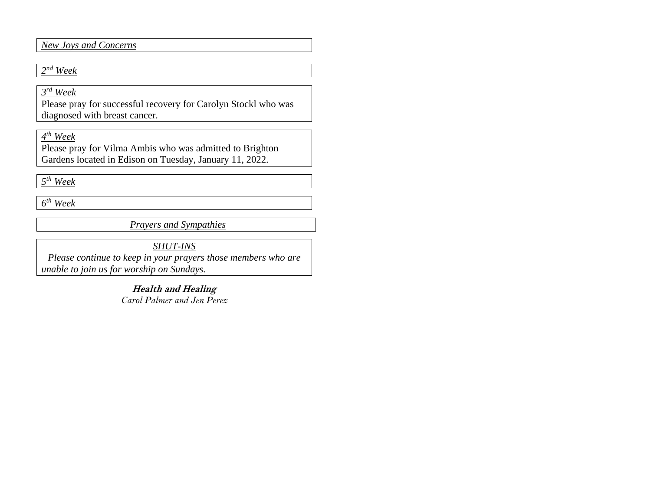#### *New Joys and Concerns*

*2 nd Week*

*3 rd Week*

Please pray for successful recovery for Carolyn Stockl who was diagnosed with breast cancer.

*4 th Week*

Please pray for Vilma Ambis who was admitted to Brighton Gardens located in Edison on Tuesday, January 11, 2022.

*5 th Week*

*6 th Week* 

*Prayers and Sympathies*

*SHUT-INS*

*Please continue to keep in your prayers those members who are unable to join us for worship on Sundays.* 

> **Health and Healing** *Carol Palmer and Jen Perez*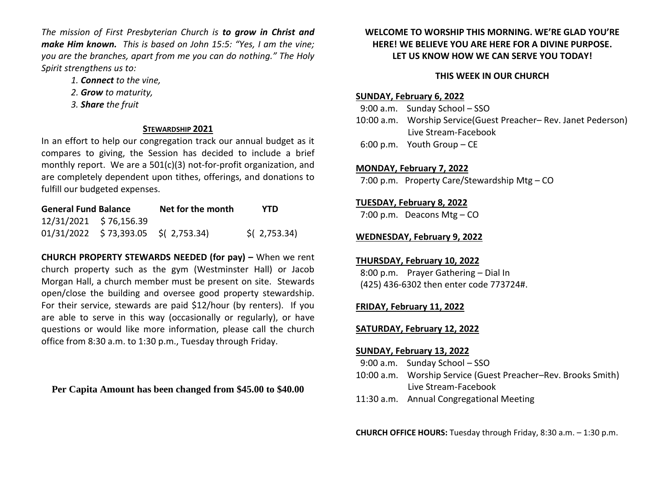*The mission of First Presbyterian Church is to grow in Christ and make Him known. This is based on John 15:5: "Yes, I am the vine; you are the branches, apart from me you can do nothing." The Holy Spirit strengthens us to:* 

- *1. Connect to the vine,*
- *2. Grow to maturity,*
- *3. Share the fruit*

#### **STEWARDSHIP 2021**

In an effort to help our congregation track our annual budget as it compares to giving, the Session has decided to include a brief monthly report. We are a 501(c)(3) not-for-profit organization, and are completely dependent upon tithes, offerings, and donations to fulfill our budgeted expenses.

| <b>General Fund Balance</b> |                                       | Net for the month | <b>YTD</b>                |
|-----------------------------|---------------------------------------|-------------------|---------------------------|
|                             | 12/31/2021 \$76,156.39                |                   |                           |
|                             | $01/31/2022$ \$73,393.05 \$(2,753.34) |                   | $\frac{1}{2}$ ( 2,753.34) |

**CHURCH PROPERTY STEWARDS NEEDED (for pay) –** When we rent church property such as the gym (Westminster Hall) or Jacob Morgan Hall, a church member must be present on site. Stewards open/close the building and oversee good property stewardship. For their service, stewards are paid \$12/hour (by renters). If you are able to serve in this way (occasionally or regularly), or have questions or would like more information, please call the church office from 8:30 a.m. to 1:30 p.m., Tuesday through Friday.

**Per Capita Amount has been changed from \$45.00 to \$40.00**

## **WELCOME TO WORSHIP THIS MORNING. WE'RE GLAD YOU'RE HERE! WE BELIEVE YOU ARE HERE FOR A DIVINE PURPOSE. LET US KNOW HOW WE CAN SERVE YOU TODAY!**

# **THIS WEEK IN OUR CHURCH**

## **SUNDAY, February 6, 2022**

 9:00 a.m. Sunday School – SSO 10:00 a.m. Worship Service(Guest Preacher– Rev. Janet Pederson) Live Stream-Facebook 6:00 p.m. Youth Group – CE

#### **MONDAY, February 7, 2022**

7:00 p.m. Property Care/Stewardship Mtg – CO

#### **TUESDAY, February 8, 2022**

7:00 p.m. Deacons Mtg – CO

#### **WEDNESDAY, February 9, 2022**

#### **THURSDAY, February 10, 2022**

 8:00 p.m. Prayer Gathering – Dial In (425) 436-6302 then enter code 773724#.

## **FRIDAY, February 11, 2022**

#### **SATURDAY, February 12, 2022**

#### **SUNDAY, February 13, 2022**

- 9:00 a.m. Sunday School SSO
- 10:00 a.m. Worship Service (Guest Preacher–Rev. Brooks Smith) Live Stream-Facebook
- 11:30 a.m. Annual Congregational Meeting

**CHURCH OFFICE HOURS:** Tuesday through Friday, 8:30 a.m. – 1:30 p.m.